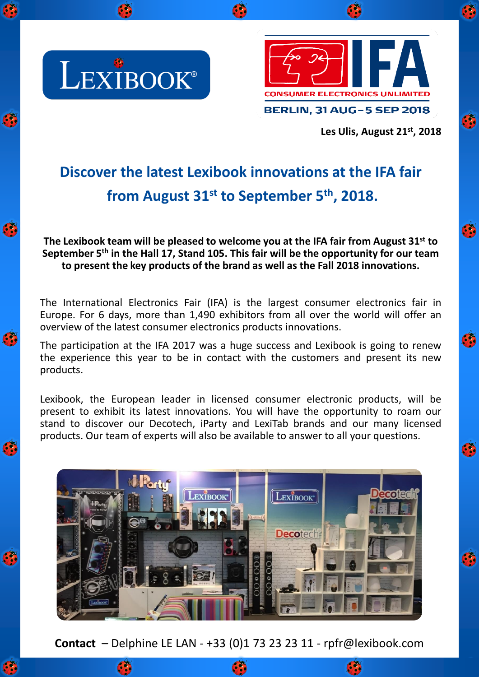

C

G

Ø

 $\bullet$ 

Ø



**Les Ulis, August 21st , 2018**

Ø

Ø

Ø

Ø

Ø

## **Discover the latest Lexibook innovations at the IFA fair from August 31st to September 5 th , 2018.**

**The Lexibook team will be pleased to welcome you at the IFA fair from August 31st to September 5 th in the Hall 17, Stand 105. This fair will be the opportunity for our team to present the key products of the brand as well as the Fall 2018 innovations.**

The International Electronics Fair (IFA) is the largest consumer electronics fair in Europe. For 6 days, more than 1,490 exhibitors from all over the world will offer an overview of the latest consumer electronics products innovations.

The participation at the IFA 2017 was a huge success and Lexibook is going to renew the experience this year to be in contact with the customers and present its new products.

Lexibook, the European leader in licensed consumer electronic products, will be present to exhibit its latest innovations. You will have the opportunity to roam our stand to discover our Decotech, iParty and LexiTab brands and our many licensed products. Our team of experts will also be available to answer to all your questions.



**Contact** – Delphine LE LAN - +33 (0)1 73 23 23 11 - rpfr@lexibook.com